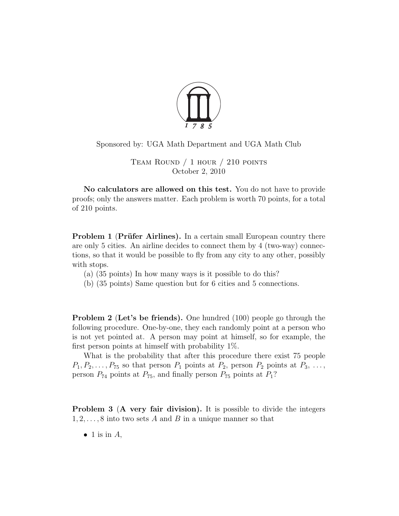

Sponsored by: UGA Math Department and UGA Math Club

Team Round / 1 hour / 210 points October 2, 2010

No calculators are allowed on this test. You do not have to provide proofs; only the answers matter. Each problem is worth 70 points, for a total of 210 points.

**Problem 1 (Prüfer Airlines).** In a certain small European country there are only 5 cities. An airline decides to connect them by 4 (two-way) connections, so that it would be possible to fly from any city to any other, possibly with stops.

- (a) (35 points) In how many ways is it possible to do this?
- (b) (35 points) Same question but for 6 cities and 5 connections.

**Problem 2 (Let's be friends).** One hundred (100) people go through the following procedure. One-by-one, they each randomly point at a person who is not yet pointed at. A person may point at himself, so for example, the first person points at himself with probability 1%.

What is the probability that after this procedure there exist 75 people  $P_1, P_2, \ldots, P_{75}$  so that person  $P_1$  points at  $P_2$ , person  $P_2$  points at  $P_3, \ldots,$ person  $P_{74}$  points at  $P_{75}$ , and finally person  $P_{75}$  points at  $P_1$ ?

**Problem 3 (A very fair division).** It is possible to divide the integers  $1, 2, \ldots, 8$  into two sets A and B in a unique manner so that

 $\bullet$  1 is in A,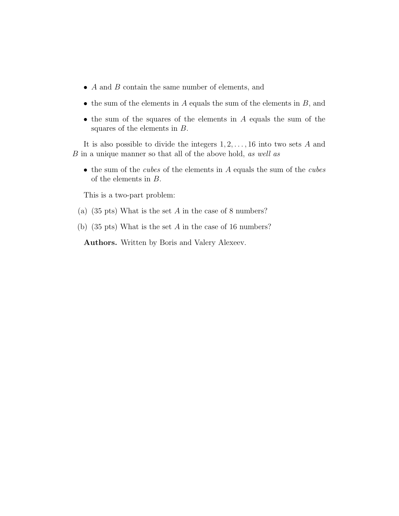- A and B contain the same number of elements, and
- the sum of the elements in  $A$  equals the sum of the elements in  $B$ , and
- the sum of the squares of the elements in A equals the sum of the squares of the elements in B.

It is also possible to divide the integers  $1, 2, \ldots, 16$  into two sets A and B in a unique manner so that all of the above hold, as well as

 $\bullet$  the sum of the *cubes* of the elements in  $\vec{A}$  equals the sum of the *cubes* of the elements in B.

This is a two-part problem:

- (a) (35 pts) What is the set A in the case of 8 numbers?
- (b) (35 pts) What is the set A in the case of 16 numbers?

Authors. Written by Boris and Valery Alexeev.